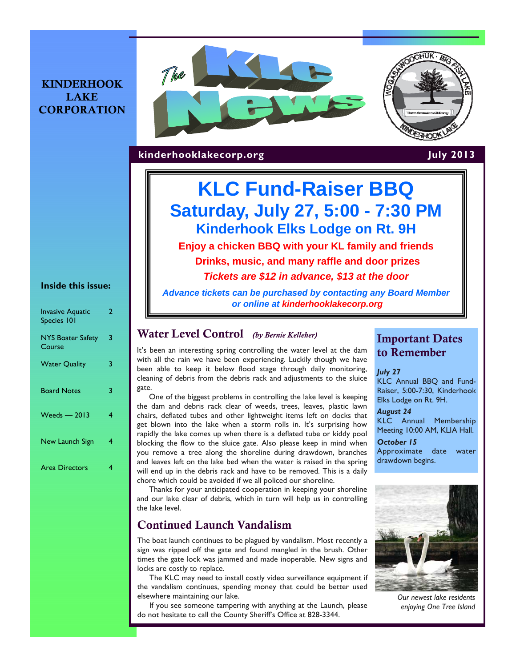## KINDERHOOK **LAKE CORPORATION**





**kinderhooklakecorp.org** July 2013

# **KLC Fund-Raiser BBQ Saturday, July 27, 5:00 - 7:30 PM Kinderhook Elks Lodge on Rt. 9H**

**Enjoy a chicken BBQ with your KL family and friends Drinks, music, and many raffle and door prizes** *Tickets are \$12 in advance, \$13 at the door* 

*Advance tickets can be purchased by contacting any Board Member or online at kinderhooklakecorp.org* 

### Water Level Control *(by Bernie Kelleher)*

It's been an interesting spring controlling the water level at the dam with all the rain we have been experiencing. Luckily though we have been able to keep it below flood stage through daily monitoring, cleaning of debris from the debris rack and adjustments to the sluice gate.

One of the biggest problems in controlling the lake level is keeping the dam and debris rack clear of weeds, trees, leaves, plastic lawn chairs, deflated tubes and other lightweight items left on docks that get blown into the lake when a storm rolls in. It's surprising how rapidly the lake comes up when there is a deflated tube or kiddy pool blocking the flow to the sluice gate. Also please keep in mind when you remove a tree along the shoreline during drawdown, branches and leaves left on the lake bed when the water is raised in the spring will end up in the debris rack and have to be removed. This is a daily chore which could be avoided if we all policed our shoreline.

Thanks for your anticipated cooperation in keeping your shoreline and our lake clear of debris, which in turn will help us in controlling the lake level.

## Continued Launch Vandalism

The boat launch continues to be plagued by vandalism. Most recently a sign was ripped off the gate and found mangled in the brush. Other times the gate lock was jammed and made inoperable. New signs and locks are costly to replace.

The KLC may need to install costly video surveillance equipment if the vandalism continues, spending money that could be better used elsewhere maintaining our lake.

If you see someone tampering with anything at the Launch, please do not hesitate to call the County Sheriff's Office at 828-3344.

# Important Dates to Remember

### *July 27*

KLC Annual BBQ and Fund-Raiser, 5:00-7:30, Kinderhook Elks Lodge on Rt. 9H.

### *August 24*

KLC Annual Membership Meeting 10:00 AM, KLIA Hall.

*October 15*  Approximate date water drawdown begins.



*Our newest lake residents enjoying One Tree Island* 

### **Inside this issue:**

| <b>Invasive Aquatic</b><br>Species 101 | 2 |
|----------------------------------------|---|
| <b>NYS Boater Safety</b><br>Course     | 3 |
| <b>Water Quality</b>                   | 3 |
| <b>Board Notes</b>                     | 3 |
| $Weeds - 2013$                         | 4 |
| New Launch Sign                        | 4 |
| <b>Area Directors</b>                  | 4 |
|                                        |   |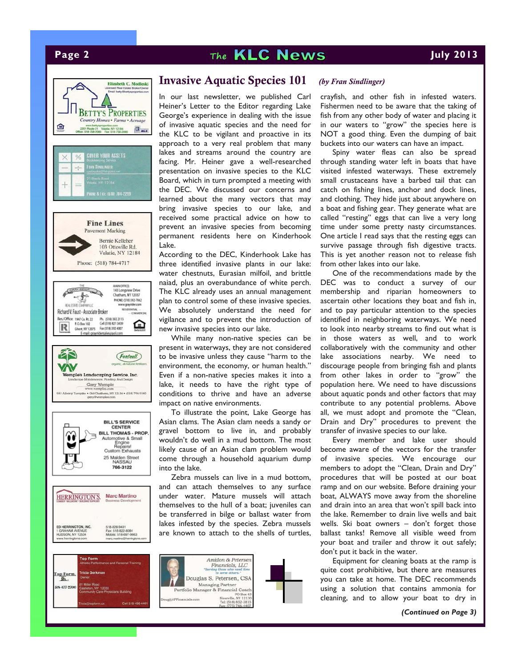# **Page 2 The KLC News July 2013**



Cell 518-496

## Invasive Aquatic Species 101 *(by Fran Sindlinger)*

In our last newsletter, we published Carl Heiner's Letter to the Editor regarding Lake George's experience in dealing with the issue of invasive aquatic species and the need for the KLC to be vigilant and proactive in its approach to a very real problem that many lakes and streams around the country are facing. Mr. Heiner gave a well-researched presentation on invasive species to the KLC Board, which in turn prompted a meeting with the DEC. We discussed our concerns and learned about the many vectors that may bring invasive species to our lake, and received some practical advice on how to prevent an invasive species from becoming permanent residents here on Kinderhook Lake.

According to the DEC, Kinderhook Lake has three identified invasive plants in our lake: water chestnuts, Eurasian milfoil, and brittle naiad, plus an overabundance of white perch. The KLC already uses an annual management plan to control some of these invasive species. We absolutely understand the need for vigilance and to prevent the introduction of new invasive species into our lake.

While many non-native species can be present in waterways, they are not considered to be invasive unless they cause "harm to the environment, the economy, or human health." Even if a non-native species makes it into a lake, it needs to have the right type of conditions to thrive and have an adverse impact on native environments.

To illustrate the point, Lake George has Asian clams. The Asian clam needs a sandy or gravel bottom to live in, and probably wouldn't do well in a mud bottom. The most likely cause of an Asian clam problem would come through a household aquarium dump into the lake.

Zebra mussels can live in a mud bottom, and can attach themselves to any surface under water. Mature mussels will attach themselves to the hull of a boat; juveniles can be transferred in bilge or ballast water from lakes infested by the species. Zebra mussels are known to attach to the shells of turtles,



crayfish, and other fish in infested waters. Fishermen need to be aware that the taking of fish from any other body of water and placing it in our waters to "grow" the species here is NOT a good thing. Even the dumping of bait buckets into our waters can have an impact.

Spiny water fleas can also be spread through standing water left in boats that have visited infested waterways. These extremely small crustaceans have a barbed tail that can catch on fishing lines, anchor and dock lines, and clothing. They hide just about anywhere on a boat and fishing gear. They generate what are called "resting" eggs that can live a very long time under some pretty nasty circumstances. One article I read says that the resting eggs can survive passage through fish digestive tracts. This is yet another reason not to release fish from other lakes into our lake.

One of the recommendations made by the DEC was to conduct a survey of our membership and riparian homeowners to ascertain other locations they boat and fish in, and to pay particular attention to the species identified in neighboring waterways. We need to look into nearby streams to find out what is in those waters as well, and to work collaboratively with the community and other lake associations nearby. We need to discourage people from bringing fish and plants from other lakes in order to "grow" the population here. We need to have discussions about aquatic ponds and other factors that may contribute to any potential problems. Above all, we must adopt and promote the "Clean, Drain and Dry" procedures to prevent the transfer of invasive species to our lake.

Every member and lake user should become aware of the vectors for the transfer of invasive species. We encourage our members to adopt the "Clean, Drain and Dry" procedures that will be posted at our boat ramp and on our website. Before draining your boat, ALWAYS move away from the shoreline and drain into an area that won't spill back into the lake. Remember to drain live wells and bait wells. Ski boat owners – don't forget those ballast tanks! Remove all visible weed from your boat and trailer and throw it out safely; don't put it back in the water.

Equipment for cleaning boats at the ramp is quite cost prohibitive, but there are measures you can take at home. The DEC recommends using a solution that contains ammonia for cleaning, and to allow your boat to dry in

*(Continued on Page 3)*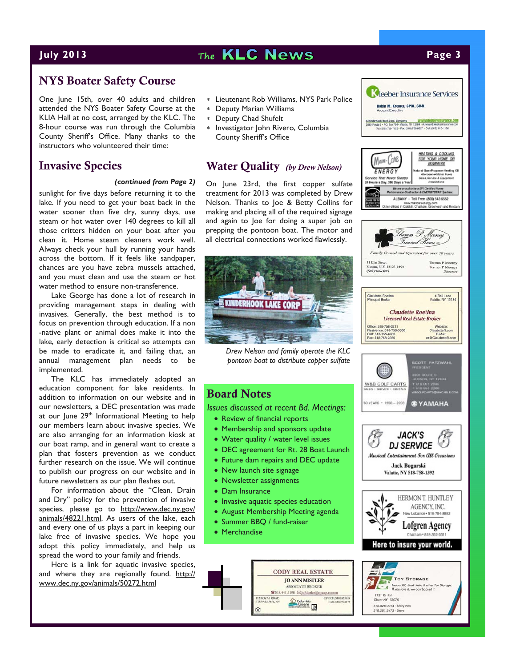# **July 2013** The **KLC News Page 3**

**K**leeber Insurance Services **Robin M. Kromer, CPIA, CISR** 

758-6657 + Cell: (518) 610-1130

**HEATING & COOLING** 

FOR YOUR HOME OR **BUSINESS** 

staral Gae» Processe» Heating Oil tural Gas-Propane-Heating<br>-Kerosene-Matar Fuels<br>-Sales, Service & Equipment<br>- /ostalistions

re proud to be a SPT Centried Mome<br>moe Contractor & ENERGYSTAR (benner, ALBANY - Toll Free (800) 542-5552 www.maincareenergy.com<br>Other offices in Catakill, Chatham, Greenwich and Rosbe

A Kinderhook Bank Corp. Company WWW.K

**The one pr** Performa

MAIN-CONE

ENERGY

518.281.5473 - Steve

## NYS Boater Safety Course

One June 15th, over 40 adults and children attended the NYS Boater Safety Course at the KLIA Hall at no cost, arranged by the KLC. The 8-hour course was run through the Columbia County Sheriff's Office. Many thanks to the instructors who volunteered their time:

### Invasive Species

sunlight for five days before returning it to the lake. If you need to get your boat back in the water sooner than five dry, sunny days, use steam or hot water over 140 degrees to kill all those critters hidden on your boat after you clean it. Home steam cleaners work well. Always check your hull by running your hands across the bottom. If it feels like sandpaper, chances are you have zebra mussels attached, and you must clean and use the steam or hot water method to ensure non-transference.

Lake George has done a lot of research in providing management steps in dealing with invasives. Generally, the best method is to focus on prevention through education. If a non -native plant or animal does make it into the lake, early detection is critical so attempts can be made to eradicate it, and failing that, an annual management plan needs to be implemented.

The KLC has immediately adopted an education component for lake residents. In addition to information on our website and in our newsletters, a DEC presentation was made at our June 29<sup>th</sup> Informational Meeting to help our members learn about invasive species. We are also arranging for an information kiosk at our boat ramp, and in general want to create a plan that fosters prevention as we conduct further research on the issue. We will continue to publish our progress on our website and in future newsletters as our plan fleshes out.

For information about the "Clean, Drain and Dry" policy for the prevention of invasive species, please go to http://www.dec.ny.gov/ animals/48221.html. As users of the lake, each and every one of us plays a part in keeping our lake free of invasive species. We hope you adopt this policy immediately, and help us spread the word to your family and friends.

Here is a link for aquatic invasive species, and where they are regionally found. http:// www.dec.ny.gov/animals/50272.html

- Lieutenant Rob Williams, NYS Park Police
- Deputy Marian Williams
- Deputy Chad Shufelt
- \* Investigator John Rivero, Columbia County Sheriff's Office

### Water Quality *(by Drew Nelson)*

*(continued from Page 2)* On June 23rd, the first copper sulfate treatment for 2013 was completed by Drew Nelson. Thanks to Joe & Betty Collins for making and placing all of the required signage and again to Joe for doing a super job on prepping the pontoon boat. The motor and all electrical connections worked flawlessly.